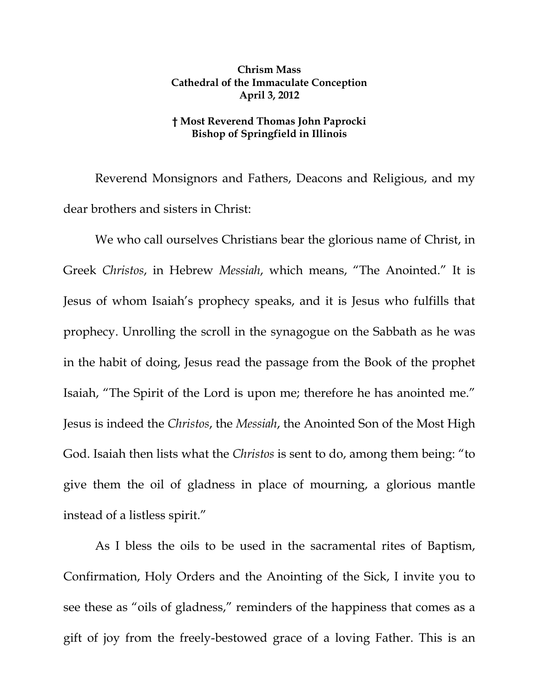## **Chrism Mass Cathedral of the Immaculate Conception April 3, 2012**

## **† Most Reverend Thomas John Paprocki Bishop of Springfield in Illinois**

Reverend Monsignors and Fathers, Deacons and Religious, and my dear brothers and sisters in Christ:

We who call ourselves Christians bear the glorious name of Christ, in Greek *Christos*, in Hebrew *Messiah*, which means, "The Anointed." It is Jesus of whom Isaiah's prophecy speaks, and it is Jesus who fulfills that prophecy. Unrolling the scroll in the synagogue on the Sabbath as he was in the habit of doing, Jesus read the passage from the Book of the prophet Isaiah, "The Spirit of the Lord is upon me; therefore he has anointed me." Jesus is indeed the *Christos*, the *Messiah*, the Anointed Son of the Most High God. Isaiah then lists what the *Christos* is sent to do, among them being: "to give them the oil of gladness in place of mourning, a glorious mantle instead of a listless spirit."

As I bless the oils to be used in the sacramental rites of Baptism, Confirmation, Holy Orders and the Anointing of the Sick, I invite you to see these as "oils of gladness," reminders of the happiness that comes as a gift of joy from the freely-bestowed grace of a loving Father. This is an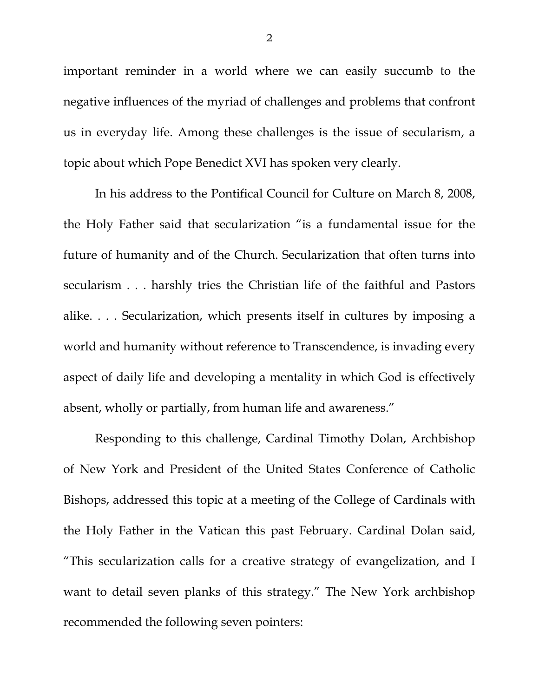important reminder in a world where we can easily succumb to the negative influences of the myriad of challenges and problems that confront us in everyday life. Among these challenges is the issue of secularism, a topic about which Pope Benedict XVI has spoken very clearly.

In his address to the Pontifical Council for Culture on March 8, 2008, the Holy Father said that secularization "is a fundamental issue for the future of humanity and of the Church. Secularization that often turns into secularism . . . harshly tries the Christian life of the faithful and Pastors alike. . . . Secularization, which presents itself in cultures by imposing a world and humanity without reference to Transcendence, is invading every aspect of daily life and developing a mentality in which God is effectively absent, wholly or partially, from human life and awareness."

Responding to this challenge, Cardinal Timothy Dolan, Archbishop of New York and President of the United States Conference of Catholic Bishops, addressed this topic at a meeting of the College of Cardinals with the Holy Father in the Vatican this past February. Cardinal Dolan said, "This secularization calls for a creative strategy of evangelization, and I want to detail seven planks of this strategy." The New York archbishop recommended the following seven pointers: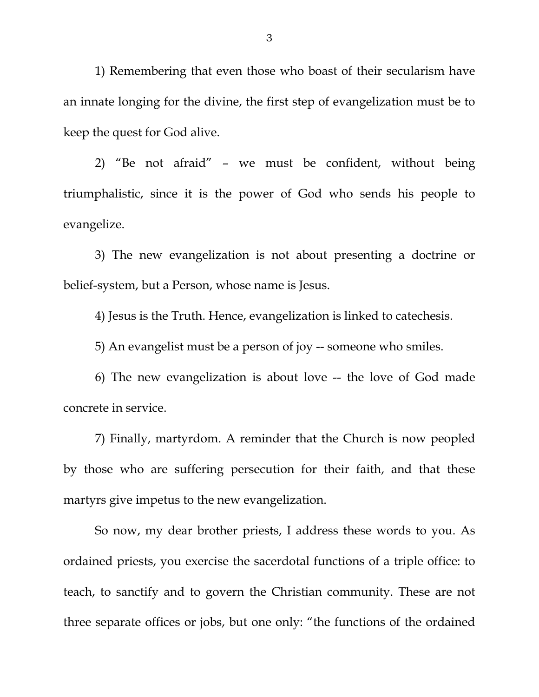1) Remembering that even those who boast of their secularism have an innate longing for the divine, the first step of evangelization must be to keep the quest for God alive.

2) "Be not afraid" – we must be confident, without being triumphalistic, since it is the power of God who sends his people to evangelize.

3) The new evangelization is not about presenting a doctrine or belief-system, but a Person, whose name is Jesus.

4) Jesus is the Truth. Hence, evangelization is linked to catechesis.

5) An evangelist must be a person of joy -- someone who smiles.

6) The new evangelization is about love -- the love of God made concrete in service.

7) Finally, martyrdom. A reminder that the Church is now peopled by those who are suffering persecution for their faith, and that these martyrs give impetus to the new evangelization.

So now, my dear brother priests, I address these words to you. As ordained priests, you exercise the sacerdotal functions of a triple office: to teach, to sanctify and to govern the Christian community. These are not three separate offices or jobs, but one only: "the functions of the ordained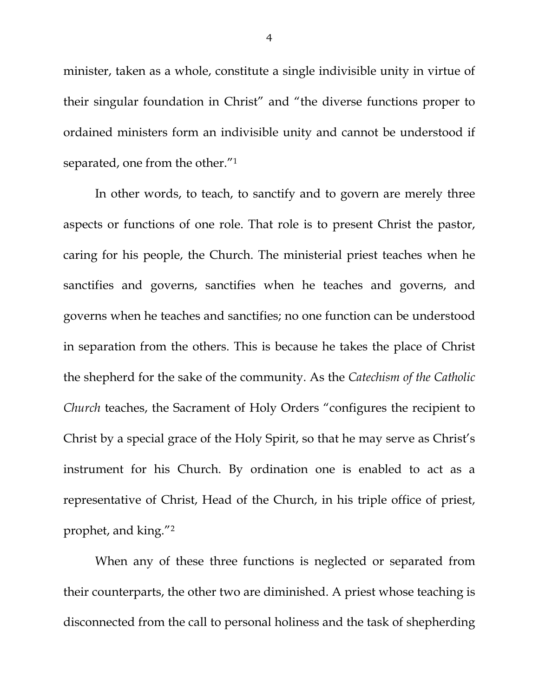minister, taken as a whole, constitute a single indivisible unity in virtue of their singular foundation in Christ" and "the diverse functions proper to ordained ministers form an indivisible unity and cannot be understood if separated, one from the other."1

In other words, to teach, to sanctify and to govern are merely three aspects or functions of one role. That role is to present Christ the pastor, caring for his people, the Church. The ministerial priest teaches when he sanctifies and governs, sanctifies when he teaches and governs, and governs when he teaches and sanctifies; no one function can be understood in separation from the others. This is because he takes the place of Christ the shepherd for the sake of the community. As the *Catechism of the Catholic Church* teaches, the Sacrament of Holy Orders "configures the recipient to Christ by a special grace of the Holy Spirit, so that he may serve as Christ's instrument for his Church. By ordination one is enabled to act as a representative of Christ, Head of the Church, in his triple office of priest, prophet, and king."2

When any of these three functions is neglected or separated from their counterparts, the other two are diminished. A priest whose teaching is disconnected from the call to personal holiness and the task of shepherding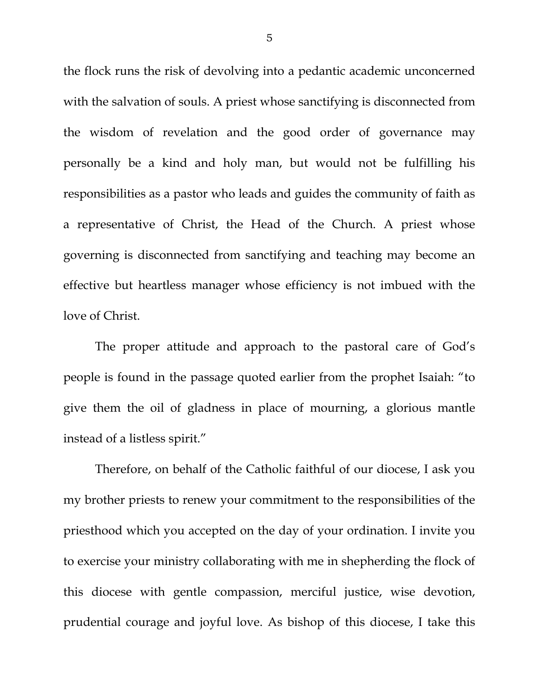the flock runs the risk of devolving into a pedantic academic unconcerned with the salvation of souls. A priest whose sanctifying is disconnected from the wisdom of revelation and the good order of governance may personally be a kind and holy man, but would not be fulfilling his responsibilities as a pastor who leads and guides the community of faith as a representative of Christ, the Head of the Church. A priest whose governing is disconnected from sanctifying and teaching may become an effective but heartless manager whose efficiency is not imbued with the love of Christ.

The proper attitude and approach to the pastoral care of God's people is found in the passage quoted earlier from the prophet Isaiah: "to give them the oil of gladness in place of mourning, a glorious mantle instead of a listless spirit."

 Therefore, on behalf of the Catholic faithful of our diocese, I ask you my brother priests to renew your commitment to the responsibilities of the priesthood which you accepted on the day of your ordination. I invite you to exercise your ministry collaborating with me in shepherding the flock of this diocese with gentle compassion, merciful justice, wise devotion, prudential courage and joyful love. As bishop of this diocese, I take this